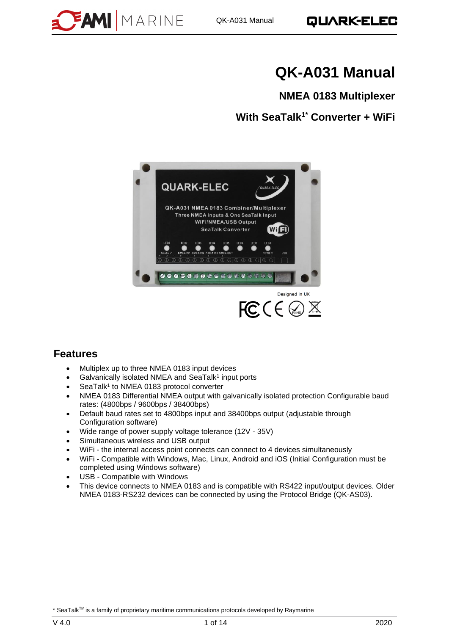

# **QK-A031 Manual**

**NMEA 0183 Multiplexer**

**With SeaTalk1\* Converter + WiFi**



### **Features**

- Multiplex up to three NMEA 0183 input devices
- Galvanically isolated NMEA and SeaTalk<sup>1</sup> input ports
- SeaTalk<sup>1</sup> to NMEA 0183 protocol converter
- NMEA 0183 Differential NMEA output with galvanically isolated protection Configurable baud rates: (4800bps / 9600bps / 38400bps)
- Default baud rates set to 4800bps input and 38400bps output (adjustable through Configuration software)
- Wide range of power supply voltage tolerance (12V 35V)
- Simultaneous wireless and USB output
- WiFi the internal access point connects can connect to 4 devices simultaneously
- WiFi Compatible with Windows, Mac, Linux, Android and iOS (Initial Configuration must be completed using Windows software)
- USB Compatible with Windows
- This device connects to NMEA 0183 and is compatible with RS422 input/output devices. Older NMEA 0183-RS232 devices can be connected by using the Protocol Bridge (QK-AS03).

\* SeaTalk™ is a family of proprietary maritime communications protocols developed by Raymarine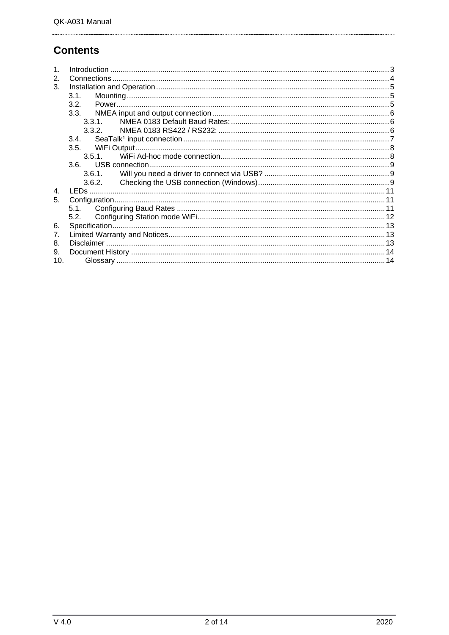# **Contents**

| $\mathbf 1$<br>2.<br>3. |        |  |
|-------------------------|--------|--|
|                         | 3.1.   |  |
|                         | 3.2.   |  |
|                         | 3.3.   |  |
|                         | 3.3.1. |  |
|                         | 3.3.2. |  |
|                         | 3.4.   |  |
|                         |        |  |
|                         | 3.5.1  |  |
|                         |        |  |
|                         | 3.6.1. |  |
|                         | 3.6.2. |  |
| $\overline{4}$ .        |        |  |
| 5.                      |        |  |
|                         |        |  |
|                         |        |  |
| 6.                      |        |  |
| 7.                      |        |  |
| 8.                      |        |  |
| 9.                      |        |  |
| 10 <sub>1</sub>         |        |  |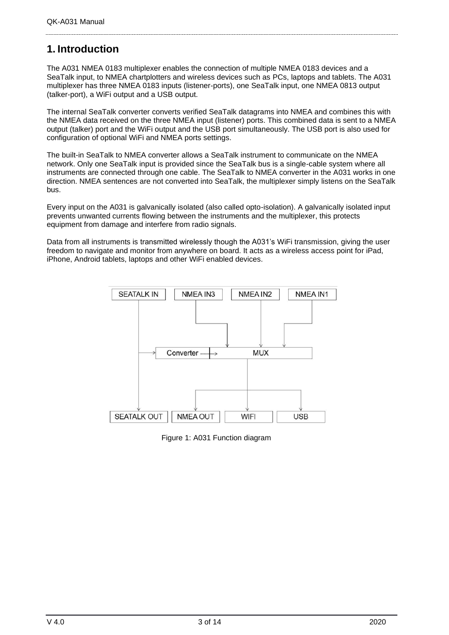# <span id="page-2-0"></span>**1. Introduction**

The A031 NMEA 0183 multiplexer enables the connection of multiple NMEA 0183 devices and a SeaTalk input, to NMEA chartplotters and wireless devices such as PCs, laptops and tablets. The A031 multiplexer has three NMEA 0183 inputs (listener-ports), one SeaTalk input, one NMEA 0813 output (talker-port), a WiFi output and a USB output.

The internal SeaTalk converter converts verified SeaTalk datagrams into NMEA and combines this with the NMEA data received on the three NMEA input (listener) ports. This combined data is sent to a NMEA output (talker) port and the WiFi output and the USB port simultaneously. The USB port is also used for configuration of optional WiFi and NMEA ports settings.

The built-in SeaTalk to NMEA converter allows a SeaTalk instrument to communicate on the NMEA network. Only one SeaTalk input is provided since the SeaTalk bus is a single-cable system where all instruments are connected through one cable. The SeaTalk to NMEA converter in the A031 works in one direction. NMEA sentences are not converted into SeaTalk, the multiplexer simply listens on the SeaTalk bus.

Every input on the A031 is galvanically isolated (also called opto-isolation). A galvanically isolated input prevents unwanted currents flowing between the instruments and the multiplexer, this protects equipment from damage and interfere from radio signals.

Data from all instruments is transmitted wirelessly though the A031's WiFi transmission, giving the user freedom to navigate and monitor from anywhere on board. It acts as a wireless access point for iPad, iPhone, Android tablets, laptops and other WiFi enabled devices.



Figure 1: A031 Function diagram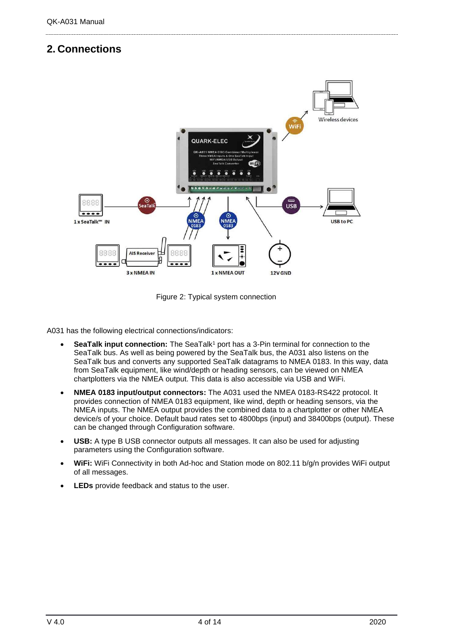# <span id="page-3-0"></span>**2. Connections**



Figure 2: Typical system connection

A031 has the following electrical connections/indicators:

- **SeaTalk input connection:** The SeaTalk<sup>1</sup> port has a 3-Pin terminal for connection to the SeaTalk bus. As well as being powered by the SeaTalk bus, the A031 also listens on the SeaTalk bus and converts any supported SeaTalk datagrams to NMEA 0183. In this way, data from SeaTalk equipment, like wind/depth or heading sensors, can be viewed on NMEA chartplotters via the NMEA output. This data is also accessible via USB and WiFi.
- **NMEA 0183 input/output connectors:** The A031 used the NMEA 0183-RS422 protocol. It provides connection of NMEA 0183 equipment, like wind, depth or heading sensors, via the NMEA inputs. The NMEA output provides the combined data to a chartplotter or other NMEA device/s of your choice. Default baud rates set to 4800bps (input) and 38400bps (output). These can be changed through Configuration software.
- **USB:** A type B USB connector outputs all messages. It can also be used for adjusting parameters using the Configuration software.
- **WiFi:** WiFi Connectivity in both Ad-hoc and Station mode on 802.11 b/g/n provides WiFi output of all messages.
- **LEDs** provide feedback and status to the user.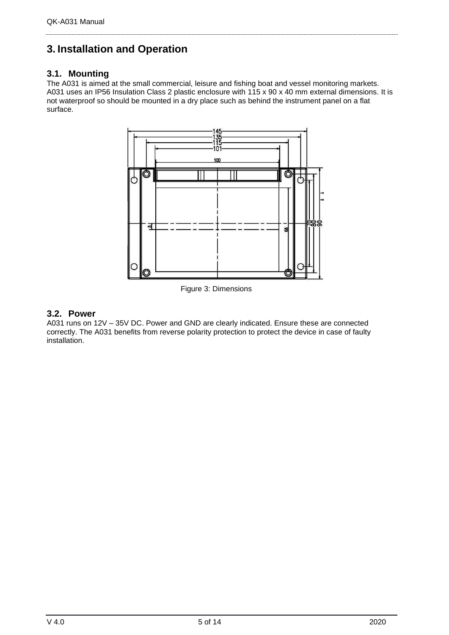# <span id="page-4-0"></span>**3. Installation and Operation**

### <span id="page-4-1"></span>**3.1. Mounting**

The A031 is aimed at the small commercial, leisure and fishing boat and vessel monitoring markets. A031 uses an IP56 Insulation Class 2 plastic enclosure with 115 x 90 x 40 mm external dimensions. It is not waterproof so should be mounted in a dry place such as behind the instrument panel on a flat surface.



Figure 3: Dimensions

### <span id="page-4-2"></span>**3.2. Power**

A031 runs on 12V – 35V DC. Power and GND are clearly indicated. Ensure these are connected correctly. The A031 benefits from reverse polarity protection to protect the device in case of faulty installation.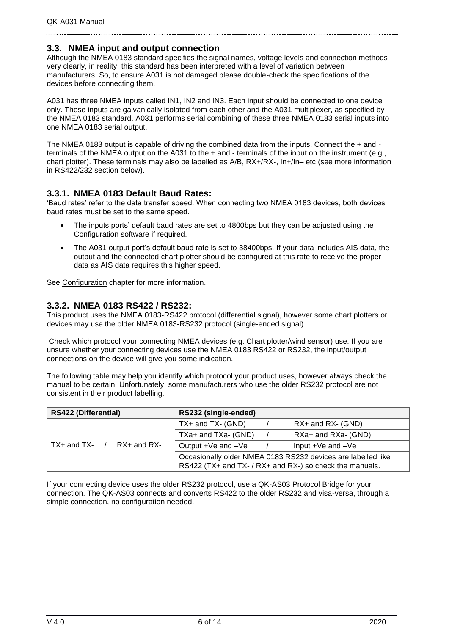#### <span id="page-5-0"></span>**3.3. NMEA input and output connection**

Although the NMEA 0183 standard specifies the signal names, voltage levels and connection methods very clearly, in reality, this standard has been interpreted with a level of variation between manufacturers. So, to ensure A031 is not damaged please double-check the specifications of the devices before connecting them.

A031 has three NMEA inputs called IN1, IN2 and IN3. Each input should be connected to one device only. These inputs are galvanically isolated from each other and the A031 multiplexer, as specified by the NMEA 0183 standard. A031 performs serial combining of these three NMEA 0183 serial inputs into one NMEA 0183 serial output.

The NMEA 0183 output is capable of driving the combined data from the inputs. Connect the + and terminals of the NMEA output on the A031 to the + and - terminals of the input on the instrument (e.g., chart plotter). These terminals may also be labelled as A/B, RX+/RX-, In+/In– etc (see more information in RS422/232 section below).

#### <span id="page-5-1"></span>**3.3.1. NMEA 0183 Default Baud Rates:**

'Baud rates' refer to the data transfer speed. When connecting two NMEA 0183 devices, both devices' baud rates must be set to the same speed.

- The inputs ports' default baud rates are set to 4800bps but they can be adjusted using the Configuration software if required.
- The A031 output port's default baud rate is set to 38400bps. If your data includes AIS data, the output and the connected chart plotter should be configured at this rate to receive the proper data as AIS data requires this higher speed.

<span id="page-5-2"></span>See [Configuration](#page-10-2) chapter for more information.

#### **3.3.2. NMEA 0183 RS422 / RS232:**

This product uses the NMEA 0183-RS422 protocol (differential signal), however some chart plotters or devices may use the older NMEA 0183-RS232 protocol (single-ended signal).

Check which protocol your connecting NMEA devices (e.g. Chart plotter/wind sensor) use. If you are unsure whether your connecting devices use the NMEA 0183 RS422 or RS232, the input/output connections on the device will give you some indication.

The following table may help you identify which protocol your product uses, however always check the manual to be certain. Unfortunately, some manufacturers who use the older RS232 protocol are not consistent in their product labelling.

| <b>RS422 (Differential)</b>      | RS232 (single-ended)                                                                                                    |  |                       |
|----------------------------------|-------------------------------------------------------------------------------------------------------------------------|--|-----------------------|
|                                  | $TX+$ and $TX-$ (GND)                                                                                                   |  | RX+ and RX- (GND)     |
|                                  | TXa+ and TXa- (GND)                                                                                                     |  | RXa+ and RXa- (GND)   |
| $TX+$ and $TX-$ /<br>RX+ and RX- | Output +Ve and -Ve                                                                                                      |  | Input $+Ve$ and $-Ve$ |
|                                  | Occasionally older NMEA 0183 RS232 devices are labelled like<br>RS422 (TX+ and TX- / RX+ and RX-) so check the manuals. |  |                       |

If your connecting device uses the older RS232 protocol, use a QK-AS03 Protocol Bridge for your connection. The QK-AS03 connects and converts RS422 to the older RS232 and visa-versa, through a simple connection, no configuration needed.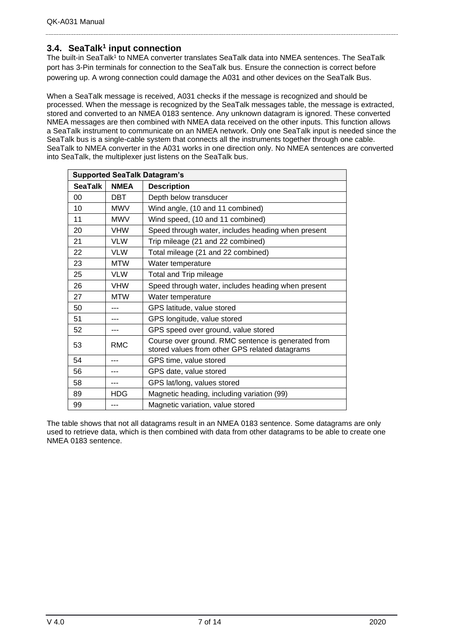### <span id="page-6-0"></span>**3.4. SeaTalk<sup>1</sup> input connection**

The built-in SeaTalk<sup>1</sup> to NMEA converter translates SeaTalk data into NMEA sentences. The SeaTalk port has 3-Pin terminals for connection to the SeaTalk bus. Ensure the connection is correct before powering up. A wrong connection could damage the A031 and other devices on the SeaTalk Bus.

When a SeaTalk message is received, A031 checks if the message is recognized and should be processed. When the message is recognized by the SeaTalk messages table, the message is extracted, stored and converted to an NMEA 0183 sentence. Any unknown datagram is ignored. These converted NMEA messages are then combined with NMEA data received on the other inputs. This function allows a SeaTalk instrument to communicate on an NMEA network. Only one SeaTalk input is needed since the SeaTalk bus is a single-cable system that connects all the instruments together through one cable. SeaTalk to NMEA converter in the A031 works in one direction only. No NMEA sentences are converted into SeaTalk, the multiplexer just listens on the SeaTalk bus.

|                | <b>Supported SeaTalk Datagram's</b> |                                                                                                      |  |  |  |
|----------------|-------------------------------------|------------------------------------------------------------------------------------------------------|--|--|--|
| <b>SeaTalk</b> | <b>NMEA</b>                         | <b>Description</b>                                                                                   |  |  |  |
| 00             | DBT                                 | Depth below transducer                                                                               |  |  |  |
| 10             | <b>MWV</b>                          | Wind angle, (10 and 11 combined)                                                                     |  |  |  |
| 11             | <b>MWV</b>                          | Wind speed, (10 and 11 combined)                                                                     |  |  |  |
| 20             | <b>VHW</b>                          | Speed through water, includes heading when present                                                   |  |  |  |
| 21             | <b>VLW</b>                          | Trip mileage (21 and 22 combined)                                                                    |  |  |  |
| 22             | <b>VLW</b>                          | Total mileage (21 and 22 combined)                                                                   |  |  |  |
| 23             | <b>MTW</b>                          | Water temperature                                                                                    |  |  |  |
| 25             | <b>VLW</b>                          | Total and Trip mileage                                                                               |  |  |  |
| 26             | <b>VHW</b>                          | Speed through water, includes heading when present                                                   |  |  |  |
| 27             | <b>MTW</b>                          | Water temperature                                                                                    |  |  |  |
| 50             |                                     | GPS latitude, value stored                                                                           |  |  |  |
| 51             | ---                                 | GPS longitude, value stored                                                                          |  |  |  |
| 52             | ---                                 | GPS speed over ground, value stored                                                                  |  |  |  |
| 53             | <b>RMC</b>                          | Course over ground. RMC sentence is generated from<br>stored values from other GPS related datagrams |  |  |  |
| 54             |                                     | GPS time, value stored                                                                               |  |  |  |
| 56             |                                     | GPS date, value stored                                                                               |  |  |  |
| 58             | ---                                 | GPS lat/long, values stored                                                                          |  |  |  |
| 89             | <b>HDG</b>                          | Magnetic heading, including variation (99)                                                           |  |  |  |
| 99             | ---                                 | Magnetic variation, value stored                                                                     |  |  |  |

The table shows that not all datagrams result in an NMEA 0183 sentence. Some datagrams are only used to retrieve data, which is then combined with data from other datagrams to be able to create one NMEA 0183 sentence.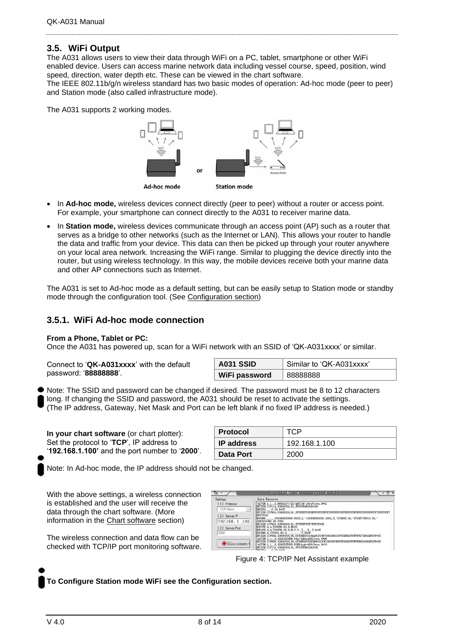### <span id="page-7-0"></span>**3.5. WiFi Output**

The A031 allows users to view their data through WiFi on a PC, tablet, smartphone or other WiFi enabled device. Users can access marine network data including vessel course, speed, position, wind speed, direction, water depth etc. These can be viewed in the chart software.

The IEEE 802.11b/g/n wireless standard has two basic modes of operation: Ad-hoc mode (peer to peer) and Station mode (also called infrastructure mode).

The A031 supports 2 working modes.



- In **Ad-hoc mode,** wireless devices connect directly (peer to peer) without a router or access point. For example, your smartphone can connect directly to the A031 to receiver marine data.
- In **Station mode,** wireless devices communicate through an access point (AP) such as a router that serves as a bridge to other networks (such as the Internet or LAN). This allows your router to handle the data and traffic from your device. This data can then be picked up through your router anywhere on your local area network. Increasing the WiFi range. Similar to plugging the device directly into the router, but using wireless technology. In this way, the mobile devices receive both your marine data and other AP connections such as Internet.

The A031 is set to Ad-hoc mode as a default setting, but can be easily setup to Station mode or standby mode through the configuration tool. (See [Configuration](#page-11-0) section)

#### <span id="page-7-1"></span>**3.5.1. WiFi Ad-hoc mode connection**

#### **From a Phone, Tablet or PC:**

Once the A031 has powered up, scan for a WiFi network with an SSID of 'QK-A031xxxx' or similar.

Connect to '**QK-A031xxxx**' with the default password: '**88888888**'.

| A031 SSID     | Similar to 'QK-A031xxxx' |
|---------------|--------------------------|
| WiFi password | 88888888                 |

Note: The SSID and password can be changed if desired. The password must be 8 to 12 characters long. If changing the SSID and password, the A031 should be reset to activate the settings. (The IP address, Gateway, Net Mask and Port can be left blank if no fixed IP address is needed.)

**In your chart software** (or chart plotter): Set the protocol to '**TCP**', IP address to '**192.168.1.100'** and the port number to '**2000**'.

| Protocol     | TCP           |
|--------------|---------------|
| ∣ IP address | 192.168.1.100 |
| Data Port    | 2000          |

Note: In Ad-hoc mode, the IP address should not be changed.

With the above settings, a wireless connection is established and the user will receive the data through the chart software. (More information in the [Chart software](#page-12-0) section)

The wireless connection and data flow can be checked with TCP/IP port monitoring software.

| TCP/IP Net Assistant (V3.8)<br>$ \Box$ $\times$                                                                                                                            |
|----------------------------------------------------------------------------------------------------------------------------------------------------------------------------|
| Data Receive                                                                                                                                                               |
| !AIVDM. 1.1 A. B69cRe?t<22>gN3>10 g7weV1www.0*4C<br>SPCDIN, 01F11A, 00000000, 01, FFF005460000*26                                                                          |
| SHCHDG 0.00. Y*25                                                                                                                                                          |
| FFF7F*2C                                                                                                                                                                   |
| 1943844492.44. V*25                                                                                                                                                        |
| SPCDIN, 01F903, 00000000, 01, FFFFFFFFFFFFFFFFFFF-SD<br>\$GPXTE, A. A. 539956, 80, R. N*4D                                                                                 |
| \$GPAPB, A, A, 539956. 80, R, N, V, V, , T, , , T, , T, A*42                                                                                                               |
| ISPCDIN, 01F80E, 00000000, 85, 01D0EEC9210AADCD43B764610D818975EF02FFFFFFF275D40EF0FF*25<br>!AIVDM. 1.1 A. 18LWf10H2B 8fg> <n62ng5k01www.0*06< td=""></n62ng5k01www.0*06<> |
| SPCDIN, 01F80E, 00000000, 85, 015ED59518B0D9C843CF186D0D7BFFFF0000FFFFFFE6820000F4FF*55<br>  AIVDM, 1, 1, , A, 169GEGT000 8UNG (p glov460t3www, 0*18                       |
| SPCDIN, 01F11A, 00000000, 01, FFF005460000*26                                                                                                                              |
|                                                                                                                                                                            |

Figure 4: TCP/IP Net Assistant example

**To Configure Station mode WiFi see the [Configuration section.](#page-11-0)**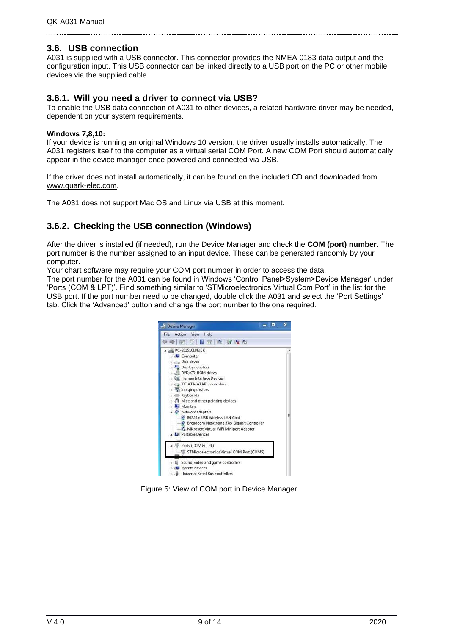#### <span id="page-8-0"></span>**3.6. USB connection**

A031 is supplied with a USB connector. This connector provides the NMEA 0183 data output and the configuration input. This USB connector can be linked directly to a USB port on the PC or other mobile devices via the supplied cable.

#### <span id="page-8-1"></span>**3.6.1. Will you need a driver to connect via USB?**

To enable the USB data connection of A031 to other devices, a related hardware driver may be needed, dependent on your system requirements.

#### **Windows 7,8,10:**

If your device is running an original Windows 10 version, the driver usually installs automatically. The A031 registers itself to the computer as a virtual serial COM Port. A new COM Port should automatically appear in the device manager once powered and connected via USB.

If the driver does not install automatically, it can be found on the included CD and downloaded from [www.quark-elec.com.](http://www.quark-elec.com/)

<span id="page-8-2"></span>The A031 does not support Mac OS and Linux via USB at this moment.

### **3.6.2. Checking the USB connection (Windows)**

After the driver is installed (if needed), run the Device Manager and check the **COM (port) number**. The port number is the number assigned to an input device. These can be generated randomly by your computer.

Your chart software may require your COM port number in order to access the data.

The port number for the A031 can be found in Windows 'Control Panel>System>Device Manager' under 'Ports (COM & LPT)'. Find something similar to 'STMicroelectronics Virtual Com Port' in the list for the USB port. If the port number need to be changed, double click the A031 and select the 'Port Settings' tab. Click the 'Advanced' button and change the port number to the one required.



Figure 5: View of COM port in Device Manager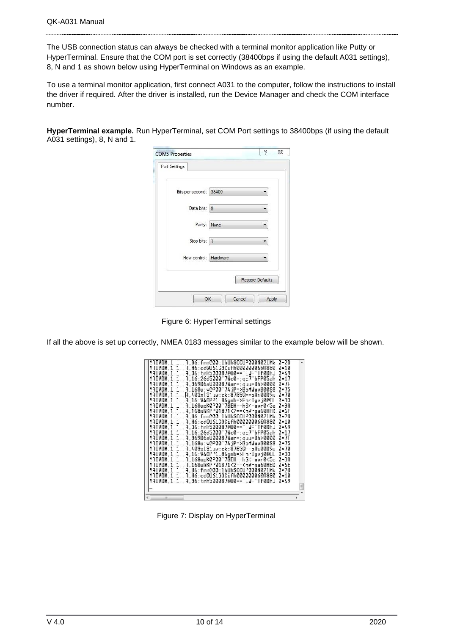The USB connection status can always be checked with a terminal monitor application like Putty or HyperTerminal. Ensure that the COM port is set correctly (38400bps if using the default A031 settings), 8, N and 1 as shown below using HyperTerminal on Windows as an example.

To use a terminal monitor application, first connect A031 to the computer, follow the instructions to install the driver if required. After the driver is installed, run the Device Manager and check the COM interface number.

**HyperTerminal example.** Run HyperTerminal, set COM Port settings to 38400bps (if using the default A031 settings), 8, N and 1.

| <b>COM5 Properties</b> |        | P                       | X |
|------------------------|--------|-------------------------|---|
| Port Settings          |        |                         |   |
| Bits per second: 38400 |        |                         |   |
| Data bits: 8           |        |                         |   |
| Parity:                | None   |                         |   |
| Stop bits:  1          |        |                         |   |
| Flow control: Hardware |        |                         |   |
|                        |        | <b>Restore Defaults</b> |   |
| OK                     | Cancel | Apply                   |   |

Figure 6: HyperTerminal settings

If all the above is set up correctly, NMEA 0183 messages similar to the example below will be shown.

| !AIVDM.1.1A.B6:fnn@00:1hUhSCCUP000N021Mk.0*2D                                      |   |
|------------------------------------------------------------------------------------|---|
| !AIVDM.1.1A.H6:cd@U61G3Cifh00000006@A880.0*10                                      |   |
| !AIVDM.1.1A.36:tnh500087@U0==TLWF'Tf0DhJ.0*49                                      |   |
| :AIVDM.1.1A.16:26d5000'7Wc0=:ac7'bFP05ah.0*17!                                     |   |
| !AIVDM,1,1,,A,369D6aU00087War=;quu=Dh>0000.0*7F                                    |   |
| !AIVDM.1.1A.168u:v@P00'74jP=>BoMWwvB00S8.0*75                                      |   |
| :AIVDM.1.1A.403sl31uv:ck:87B5@==oAi00D9u.0*70                                      |   |
| :AIVDM.1.1A.16:V4OPP1L86anb=>FmrIavi0@IL.0*33!                                     |   |
| !AIVDM.1.1A.168upK0P00'7BEH==hS<=wvr0<5e.0*3A                                      |   |
| !AIVDM.1.1A.168uRKPP01871<2== <mvrgw60hed.0*6e< td=""><td></td></mvrgw60hed.0*6e<> |   |
| !AIVDM.1.1A.B6:fnn@00:1hUhSCCUP000N021Mk.0*2D                                      |   |
| !AIVDM.1.1A.H6:cd@U61G3Cifh00000006@A880.0*10                                      |   |
| !AIVDM.1.1A.36:tnh500087@U0==TLWF'Tf0DhJ.0*49!                                     |   |
| :AIVDM.1.1A.16:26d5000'7Wc0=:ac7'bFP05ah.0*17                                      |   |
| :AIVDM.1.1A.369D6aU00087War=:quu=Dh>0000.0*7F                                      |   |
| !AIVDM.1.1A.168u:v@P00'74iP=>BoMWwvB00S8.0*75!                                     |   |
| :AIVDM.1.1A.403sl31uv:ck:87B5@==oAi00D9u.0*70                                      |   |
| !AIVDM.1.1A.16:V4OPP1L86gnb=>FmrIgvi0@IL.0*33                                      |   |
| !AIVDM.1.1A.168upK0P00'7BEH==hS<=wvr0<5e.0*3A                                      |   |
| !AIVDM.1.1A.168uRKPP01871<2== <mvrgw60hed.0*6e< td=""><td></td></mvrgw60hed.0*6e<> |   |
| !AIVDM.1.1A.B6:fnn@00:1hUhSCCUP000N021Mk.0*2D                                      |   |
| !AIVDM.1.1A.H6:cd@U61G3Cifh00000006@A880.0*10!                                     |   |
| !AIVDM.1.1A.36:tnh500087@U0==TLWF'Tf0DhJ.0*49                                      |   |
|                                                                                    | Ξ |
|                                                                                    |   |
| ш                                                                                  |   |

Figure 7: Display on HyperTerminal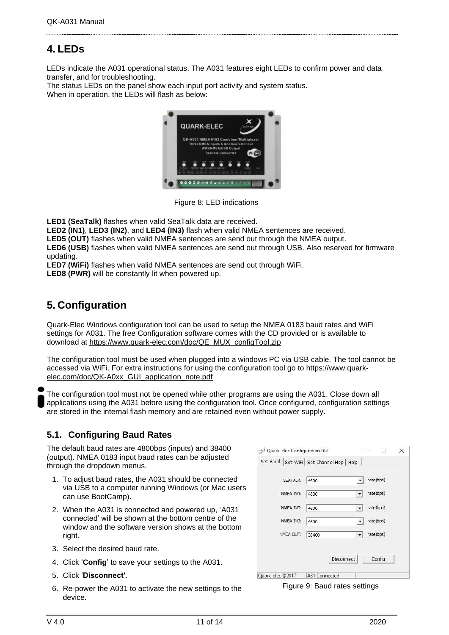# <span id="page-10-0"></span>**4. LEDs**

LEDs indicate the A031 operational status. The A031 features eight LEDs to confirm power and data transfer, and for troubleshooting.

The status LEDs on the panel show each input port activity and system status. When in operation, the LEDs will flash as below:



Figure 8: LED indications

**LED1 (SeaTalk)** flashes when valid SeaTalk data are received.

**LED2 (IN1)**, **LED3 (IN2)**, and **LED4 (IN3)** flash when valid NMEA sentences are received.

**LED5 (OUT)** flashes when valid NMEA sentences are send out through the NMEA output.

**LED6 (USB)** flashes when valid NMEA sentences are send out through USB. Also reserved for firmware updating.

**LED7 (WiFi)** flashes when valid NMEA sentences are send out through WiFi.

**LED8 (PWR)** will be constantly lit when powered up.

# <span id="page-10-1"></span>**5. Configuration**

Quark-Elec Windows configuration tool can be used to setup the NMEA 0183 baud rates and WiFi settings for A031. The free Configuration software comes with the CD provided or is available to download at [https://www.quark-elec.com/doc/QE\\_MUX\\_configTool.zip](https://www.quark-elec.com/doc/QE_MUX_configTool.zip)

The configuration tool must be used when plugged into a windows PC via USB cable. The tool cannot be accessed via WiFi. For extra instructions for using the configuration tool go to [https://www.quark](https://www.quark-elec.com/doc/QK-A0xx_GUI_application_note.pdf)[elec.com/doc/QK-A0xx\\_GUI\\_application\\_note.pdf](https://www.quark-elec.com/doc/QK-A0xx_GUI_application_note.pdf)

The configuration tool must not be opened while other programs are using the A031. Close down all applications using the A031 before using the configuration tool. Once configured, configuration settings are stored in the internal flash memory and are retained even without power supply.

### **5.1. Configuring Baud Rates**

The default baud rates are 4800bps (inputs) and 38400 (output). NMEA 0183 input baud rates can be adjusted through the dropdown menus.

- 1. To adjust baud rates, the A031 should be connected via USB to a computer running Windows (or Mac users can use BootCamp).
- 2. When the A031 is connected and powered up, 'A031 connected' will be shown at the bottom centre of the window and the software version shows at the bottom right.
- 3. Select the desired baud rate.
- 4. Click '**Config**' to save your settings to the A031.
- 5. Click '**Disconnect'**.
- 6. Re-power the A031 to activate the new settings to the device.

<span id="page-10-2"></span>

| Quark-elec Configuration GUI                 |               |                      |           | $\times$ |
|----------------------------------------------|---------------|----------------------|-----------|----------|
| Set Baud   Set WiFi   Set Channel Hop   Help |               |                      |           |          |
| SEATALK:                                     | 4800          |                      | rate(bps) |          |
| NMEA IN1:                                    | 4800          |                      | rate(bps) |          |
| NMEA IN2:                                    | 4800          | ٠                    | rate(bps) |          |
| NMEA IN3:                                    | 4800          |                      | rate(bps) |          |
| NMEA OUT:                                    | 38400         | $\blacktriangledown$ | rate(bps) |          |
|                                              |               | Disconnect           | Config    |          |
| Quark-elec @2017                             | A31 Connected |                      |           |          |

Figure 9: Baud rates settings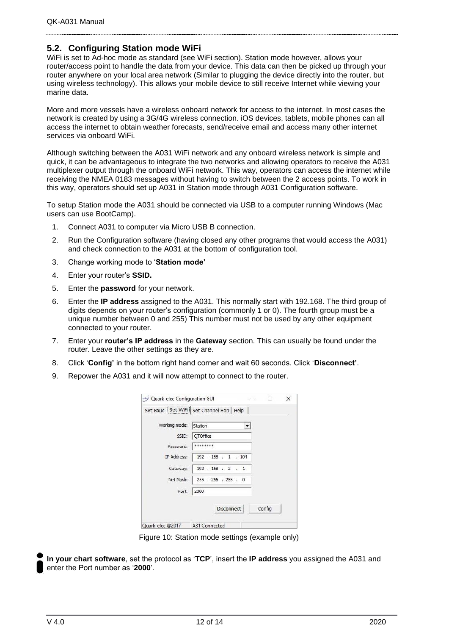#### <span id="page-11-0"></span>**5.2. Configuring Station mode WiFi**

WiFi is set to Ad-hoc mode as standard (see WiFi section). Station mode however, allows your router/access point to handle the data from your device. This data can then be picked up through your router anywhere on your local area network (Similar to plugging the device directly into the router, but using wireless technology). This allows your mobile device to still receive Internet while viewing your marine data.

More and more vessels have a wireless onboard network for access to the internet. In most cases the network is created by using a 3G/4G wireless connection. iOS devices, tablets, mobile phones can all access the internet to obtain weather forecasts, send/receive email and access many other internet services via onboard WiFi.

Although switching between the A031 WiFi network and any onboard wireless network is simple and quick, it can be advantageous to integrate the two networks and allowing operators to receive the A031 multiplexer output through the onboard WiFi network. This way, operators can access the internet while receiving the NMEA 0183 messages without having to switch between the 2 access points. To work in this way, operators should set up A031 in Station mode through A031 Configuration software.

To setup Station mode the A031 should be connected via USB to a computer running Windows (Mac users can use BootCamp).

- 1. Connect A031 to computer via Micro USB B connection.
- 2. Run the Configuration software (having closed any other programs that would access the A031) and check connection to the A031 at the bottom of configuration tool.
- 3. Change working mode to '**Station mode'**
- 4. Enter your router's **SSID.**
- 5. Enter the **password** for your network.
- 6. Enter the **IP address** assigned to the A031. This normally start with 192.168. The third group of digits depends on your router's configuration (commonly 1 or 0). The fourth group must be a unique number between 0 and 255) This number must not be used by any other equipment connected to your router.
- 7. Enter your **router's IP address** in the **Gateway** section. This can usually be found under the router. Leave the other settings as they are.
- 8. Click '**Config'** in the bottom right hand corner and wait 60 seconds. Click '**Disconnect'**.
- 9. Repower the A031 and it will now attempt to connect to the router.

|                    | Set Baud [Set WIFI] Set Channel Hop   Help |        |  |
|--------------------|--------------------------------------------|--------|--|
| Working mode:      | Station                                    |        |  |
| SSID:              | OTOffice                                   |        |  |
| Password:          | ********                                   |        |  |
| <b>IP Address:</b> | 192.168.1.104                              |        |  |
| Gateway:           | 192.168.2.1                                |        |  |
| Net Mask:          | 255 . 255 . 255 . 0                        |        |  |
| Port:              | 2000                                       |        |  |
|                    |                                            |        |  |
|                    | <b>Disconnect</b>                          | Config |  |

Figure 10: Station mode settings (example only)

**In your chart software**, set the protocol as '**TCP**', insert the **IP address** you assigned the A031 and enter the Port number as '**2000**'.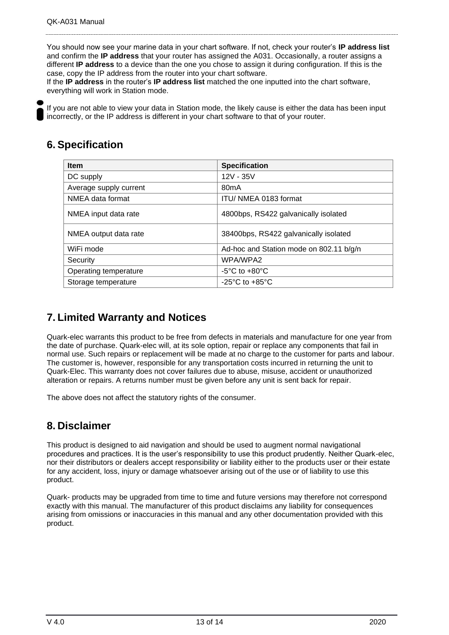You should now see your marine data in your chart software. If not, check your router's **IP address list** and confirm the **IP address** that your router has assigned the A031. Occasionally, a router assigns a different **IP address** to a device than the one you chose to assign it during configuration. If this is the case, copy the IP address from the router into your chart software.

If the **IP address** in the router's **IP address list** matched the one inputted into the chart software, everything will work in Station mode.

If you are not able to view your data in Station mode, the likely cause is either the data has been input incorrectly, or the IP address is different in your chart software to that of your router.

# <span id="page-12-0"></span>**6. Specification**

| <b>Item</b>            | <b>Specification</b>                    |
|------------------------|-----------------------------------------|
| DC supply              | 12V - 35V                               |
| Average supply current | 80 <sub>m</sub> A                       |
| NMEA data format       | ITU/ NMEA 0183 format                   |
| NMEA input data rate   | 4800bps, RS422 galvanically isolated    |
| NMEA output data rate  | 38400bps, RS422 galvanically isolated   |
| WiFi mode              | Ad-hoc and Station mode on 802.11 b/g/n |
| Security               | WPA/WPA2                                |
| Operating temperature  | $-5^{\circ}$ C to $+80^{\circ}$ C       |
| Storage temperature    | $-25^{\circ}$ C to $+85^{\circ}$ C      |

## <span id="page-12-1"></span>**7. Limited Warranty and Notices**

Quark-elec warrants this product to be free from defects in materials and manufacture for one year from the date of purchase. Quark-elec will, at its sole option, repair or replace any components that fail in normal use. Such repairs or replacement will be made at no charge to the customer for parts and labour. The customer is, however, responsible for any transportation costs incurred in returning the unit to Quark-Elec. This warranty does not cover failures due to abuse, misuse, accident or unauthorized alteration or repairs. A returns number must be given before any unit is sent back for repair.

The above does not affect the statutory rights of the consumer.

## <span id="page-12-2"></span>**8. Disclaimer**

This product is designed to aid navigation and should be used to augment normal navigational procedures and practices. It is the user's responsibility to use this product prudently. Neither Quark-elec, nor their distributors or dealers accept responsibility or liability either to the products user or their estate for any accident, loss, injury or damage whatsoever arising out of the use or of liability to use this product.

Quark- products may be upgraded from time to time and future versions may therefore not correspond exactly with this manual. The manufacturer of this product disclaims any liability for consequences arising from omissions or inaccuracies in this manual and any other documentation provided with this product.